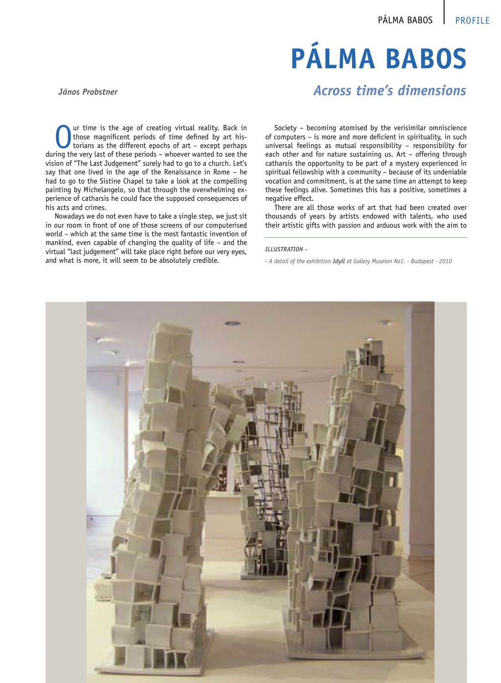# **Pálma Babos**

### *János Probstner*

ur time is the age of creating virtual reality. Back in those magnificent periods of time defined by art historians as the different epochs of art – except perhaps during the very last of these periods – whoever wanted to see the vision of "The Last Judgement" surely had to go to a church. Let's say that one lived in the age of the Renaissance in Rome – he had to go to the Sistine Chapel to take a look at the compelling painting by Michelangelo, so that through the overwhelming experience of catharsis he could face the supposed consequences of his acts and crimes.

Nowadays we do not even have to take a single step, we just sit in our room in front of one of those screens of our computerised world – which at the same time is the most fantastic invention of mankind, even capable of changing the quality of life – and the virtual "last judgement" will take place right before our very eyes, and what is more, it will seem to be absolutely credible.

## *Across time's dimensions*

Society – becoming atomised by the verisimilar omniscience of computers – is more and more deficient in spirituality, in such universal feelings as mutual responsibility – responsibility for each other and for nature sustaining us. Art – offering through catharsis the opportunity to be part of a mystery experienced in spiritual fellowship with a community – because of its undeniable vocation and commitment, is at the same time an attempt to keep these feelings alive. Sometimes this has a positive, sometimes a negative effect.

There are all those works of art that had been created over thousands of years by artists endowed with talents, who used their artistic gifts with passion and arduous work with the aim to

#### *ILLUSTRATION -*

*- A detail of the exhibition Idyll at Gallery Museion No1. - Budapest - 2010*

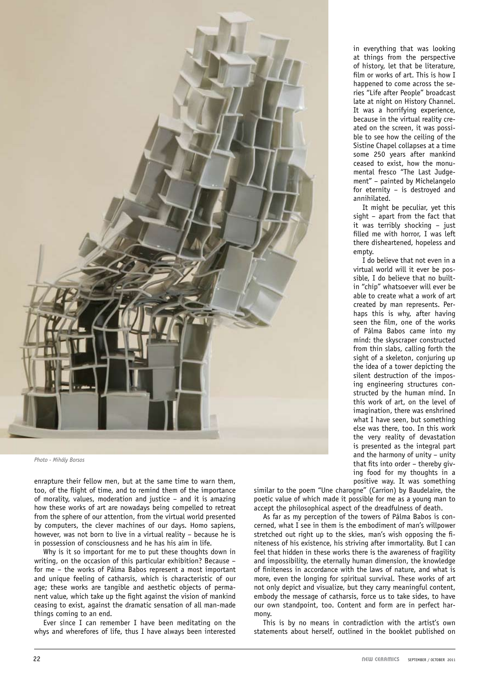

*Photo - Mihály Borsos*

enrapture their fellow men, but at the same time to warn them, too, of the flight of time, and to remind them of the importance of morality, values, moderation and justice – and it is amazing how these works of art are nowadays being compelled to retreat from the sphere of our attention, from the virtual world presented by computers, the clever machines of our days. Homo sapiens, however, was not born to live in a virtual reality – because he is in possession of consciousness and he has his aim in life.

Why is it so important for me to put these thoughts down in writing, on the occasion of this particular exhibition? Because – for me – the works of Pálma Babos represent a most important and unique feeling of catharsis, which is characteristic of our age; these works are tangible and aesthetic objects of permanent value, which take up the fight against the vision of mankind ceasing to exist, against the dramatic sensation of all man-made things coming to an end.

Ever since I can remember I have been meditating on the whys and wherefores of life, thus I have always been interested in everything that was looking at things from the perspective of history, let that be literature, film or works of art. This is how I happened to come across the series "Life after People" broadcast late at night on History Channel. It was a horrifying experience, because in the virtual reality created on the screen, it was possible to see how the ceiling of the Sistine Chapel collapses at a time some 250 years after mankind ceased to exist, how the monumental fresco "The Last Judgement" – painted by Michelangelo for eternity – is destroyed and annihilated.

It might be peculiar, yet this sight – apart from the fact that it was terribly shocking – just filled me with horror, I was left there disheartened, hopeless and empty.

I do believe that not even in a virtual world will it ever be possible, I do believe that no builtin "chip" whatsoever will ever be able to create what a work of art created by man represents. Perhaps this is why, after having seen the film, one of the works of Pálma Babos came into my mind: the skyscraper constructed from thin slabs, calling forth the sight of a skeleton, conjuring up the idea of a tower depicting the silent destruction of the imposing engineering structures constructed by the human mind. In this work of art, on the level of imagination, there was enshrined what I have seen, but something else was there, too. In this work the very reality of devastation is presented as the integral part and the harmony of unity – unity that fits into order – thereby giving food for my thoughts in a positive way. It was something

similar to the poem "Une charogne" (Carrion) by Baudelaire, the poetic value of which made it possible for me as a young man to accept the philosophical aspect of the dreadfulness of death.

As far as my perception of the towers of Pálma Babos is concerned, what I see in them is the embodiment of man's willpower stretched out right up to the skies, man's wish opposing the finiteness of his existence, his striving after immortality. But I can feel that hidden in these works there is the awareness of fragility and impossibility, the eternally human dimension, the knowledge of finiteness in accordance with the laws of nature, and what is more, even the longing for spiritual survival. These works of art not only depict and visualize, but they carry meaningful content, embody the message of catharsis, force us to take sides, to have our own standpoint, too. Content and form are in perfect harmony.

This is by no means in contradiction with the artist's own statements about herself, outlined in the booklet published on